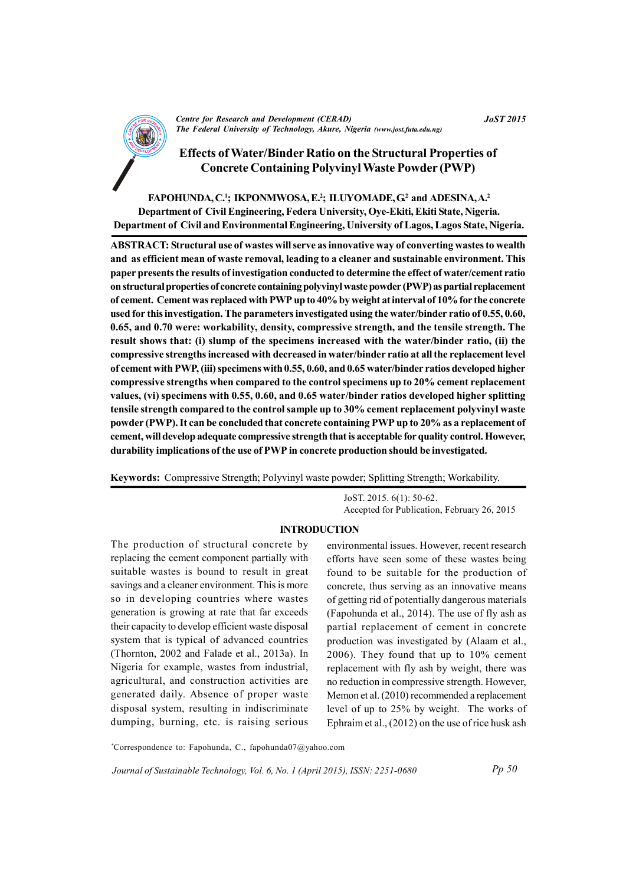

**Centre for Research and Development (CERAD)** The Federal University of Technology, Akure, Nigeria (www.jost.futa.edu.ng)

**Effects of Water/Binder Ratio on the Structural Properties of Concrete Containing Polyvinyl Waste Powder (PWP)** 

FAPOHUNDA, C.<sup>1</sup>; IKPONMWOSA, E.<sup>2</sup>; ILUYOMADE, G<sup>2</sup> and ADESINA, A.<sup>2</sup> Department of Civil Engineering, Federa University, Oye-Ekiti, Ekiti State, Nigeria. Department of Civil and Environmental Engineering, University of Lagos, Lagos State, Nigeria.

ABSTRACT: Structural use of wastes will serve as innovative way of converting wastes to wealth and as efficient mean of waste removal, leading to a cleaner and sustainable environment. This paper presents the results of investigation conducted to determine the effect of water/cement ratio on structural properties of concrete containing polyvinyl waste powder (PWP) as partial replacement of cement. Cement was replaced with PWP up to 40% by weight at interval of 10% for the concrete used for this investigation. The parameters investigated using the water/binder ratio of 0.55, 0.60, 0.65, and 0.70 were: workability, density, compressive strength, and the tensile strength. The result shows that: (i) slump of the specimens increased with the water/binder ratio, (ii) the compressive strengths increased with decreased in water/binder ratio at all the replacement level of cement with PWP, (iii) specimens with 0.55, 0.60, and 0.65 water/binder ratios developed higher compressive strengths when compared to the control specimens up to 20% cement replacement values, (vi) specimens with 0.55, 0.60, and 0.65 water/binder ratios developed higher splitting tensile strength compared to the control sample up to 30% cement replacement polyvinyl waste powder (PWP). It can be concluded that concrete containing PWP up to 20% as a replacement of cement, will develop adequate compressive strength that is acceptable for quality control. However, durability implications of the use of PWP in concrete production should be investigated.

Keywords: Compressive Strength; Polyvinyl waste powder; Splitting Strength; Workability.

JoST. 2015. 6(1): 50-62. Accepted for Publication, February 26, 2015

### **INTRODUCTION**

The production of structural concrete by replacing the cement component partially with suitable wastes is bound to result in great savings and a cleaner environment. This is more so in developing countries where wastes generation is growing at rate that far exceeds their capacity to develop efficient waste disposal system that is typical of advanced countries (Thornton, 2002 and Falade et al., 2013a). In Nigeria for example, wastes from industrial, agricultural, and construction activities are generated daily. Absence of proper waste disposal system, resulting in indiscriminate dumping, burning, etc. is raising serious

environmental issues. However, recent research efforts have seen some of these wastes being found to be suitable for the production of concrete, thus serving as an innovative means of getting rid of potentially dangerous materials (Fapohunda et al., 2014). The use of fly ash as partial replacement of cement in concrete production was investigated by (Alaam et al.,  $2006$ ). They found that up to  $10\%$  cement replacement with fly ash by weight, there was no reduction in compressive strength. However, Memon et al. (2010) recommended a replacement level of up to 25% by weight. The works of Ephraim et al.,  $(2012)$  on the use of rice husk ash

\*Correspondence to: Fapohunda, C., fapohunda07@yahoo.com

Journal of Sustainable Technology, Vol. 6, No. 1 (April 2015), ISSN: 2251-0680

**JoST 2015**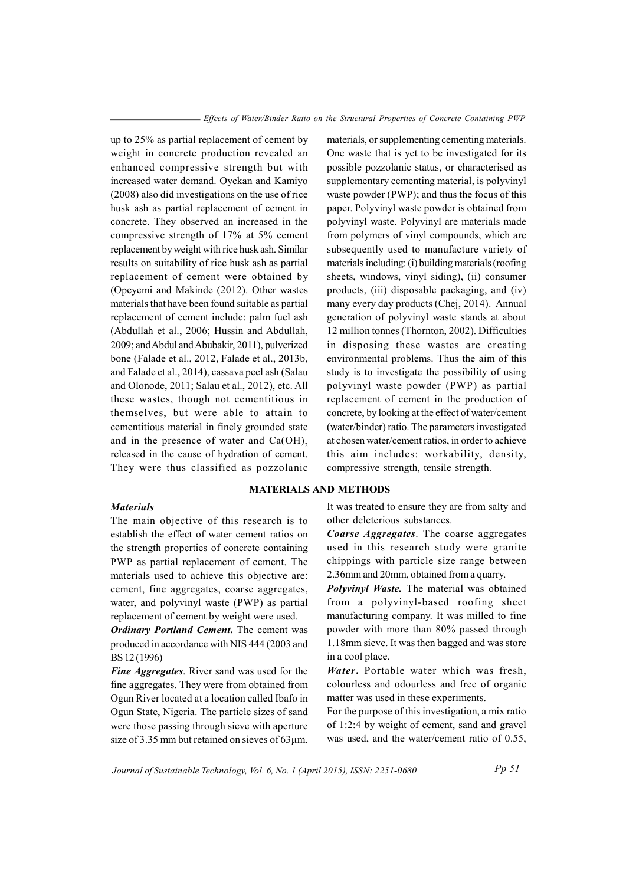up to 25% as partial replacement of cement by weight in concrete production revealed an enhanced compressive strength but with increased water demand. Oyekan and Kamiyo (2008) also did investigations on the use of rice husk ash as partial replacement of cement in concrete. They observed an increased in the compressive strength of 17% at 5% cement replacement by weight with rice husk ash. Similar results on suitability of rice husk ash as partial replacement of cement were obtained by (Opeyemi and Makinde (2012). Other wastes materials that have been found suitable as partial replacement of cement include: palm fuel ash (Abdullah et al., 2006; Hussin and Abdullah, 2009; and Abdul and Abubakir, 2011), pulverized bone (Falade et al., 2012, Falade et al., 2013b, and Falade et al., 2014), cassava peel ash (Salau and Olonode, 2011; Salau et al., 2012), etc. All these wastes, though not cementitious in themselves, but were able to attain to cementitious material in finely grounded state and in the presence of water and  $Ca(OH)$ , released in the cause of hydration of cement. They were thus classified as pozzolanic

### **Materials**

The main objective of this research is to establish the effect of water cement ratios on the strength properties of concrete containing PWP as partial replacement of cement. The materials used to achieve this objective are: cement, fine aggregates, coarse aggregates, water, and polyvinyl waste (PWP) as partial replacement of cement by weight were used.

**Ordinary Portland Cement.** The cement was produced in accordance with NIS 444 (2003 and BS 12 (1996)

Fine Aggregates. River sand was used for the fine aggregates. They were from obtained from Ogun River located at a location called Ibafo in Ogun State, Nigeria. The particle sizes of sand were those passing through sieve with aperture size of 3.35 mm but retained on sieves of 63µm. materials, or supplementing cementing materials. One waste that is yet to be investigated for its possible pozzolanic status, or characterised as supplementary cementing material, is polyvinyl waste powder (PWP); and thus the focus of this paper. Polyvinyl waste powder is obtained from polyvinyl waste. Polyvinyl are materials made from polymers of vinyl compounds, which are subsequently used to manufacture variety of materials including: (i) building materials (roofing sheets, windows, vinyl siding), (ii) consumer products, (iii) disposable packaging, and (iv) many every day products (Chej, 2014). Annual generation of polyvinyl waste stands at about 12 million tonnes (Thornton, 2002). Difficulties in disposing these wastes are creating environmental problems. Thus the aim of this study is to investigate the possibility of using polyvinyl waste powder (PWP) as partial replacement of cement in the production of concrete, by looking at the effect of water/cement (water/binder) ratio. The parameters investigated at chosen water/cement ratios, in order to achieve this aim includes: workability, density, compressive strength, tensile strength.

# **MATERIALS AND METHODS**

It was treated to ensure they are from salty and other deleterious substances.

Coarse Aggregates. The coarse aggregates used in this research study were granite chippings with particle size range between 2.36mm and 20mm, obtained from a quarry.

**Polyvinyl Waste.** The material was obtained from a polyvinyl-based roofing sheet manufacturing company. It was milled to fine powder with more than 80% passed through 1.18mm sieve. It was then bagged and was store in a cool place.

Water. Portable water which was fresh, colourless and odourless and free of organic matter was used in these experiments.

For the purpose of this investigation, a mix ratio of 1:2:4 by weight of cement, sand and gravel was used, and the water/cement ratio of 0.55,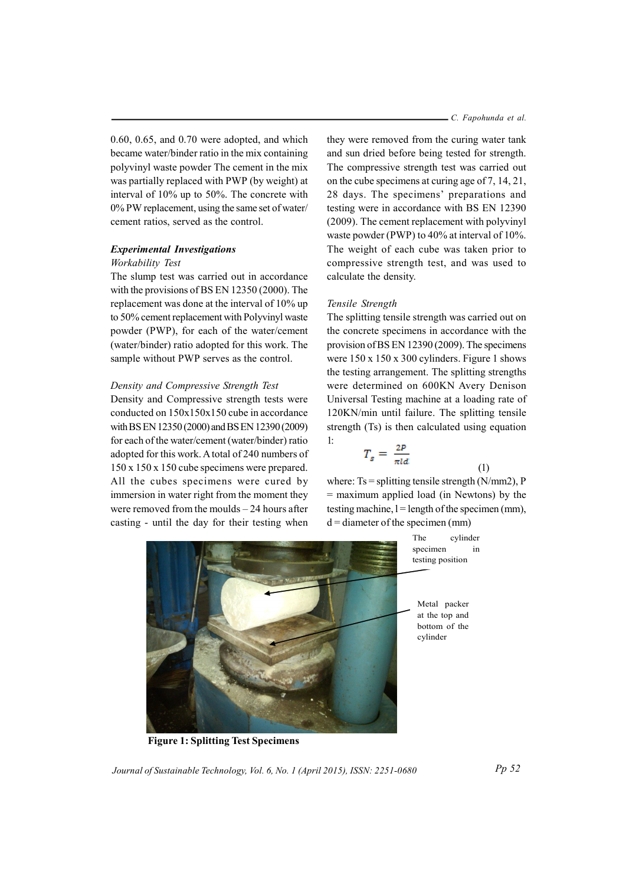$0.60, 0.65,$  and  $0.70$  were adopted, and which became water/binder ratio in the mix containing polyvinyl waste powder The cement in the mix was partially replaced with PWP (by weight) at interval of 10% up to 50%. The concrete with 0% PW replacement, using the same set of water/ cement ratios, served as the control.

# **Experimental Investigations**

#### Workability Test

The slump test was carried out in accordance with the provisions of BS EN 12350 (2000). The replacement was done at the interval of 10% up to 50% cement replacement with Polyvinyl waste powder (PWP), for each of the water/cement (water/binder) ratio adopted for this work. The sample without PWP serves as the control.

## Density and Compressive Strength Test

Density and Compressive strength tests were conducted on 150x150x150 cube in accordance with BS EN 12350 (2000) and BS EN 12390 (2009) for each of the water/cement (water/binder) ratio adopted for this work. A total of 240 numbers of  $150 \times 150 \times 150$  cube specimens were prepared. All the cubes specimens were cured by immersion in water right from the moment they were removed from the moulds  $-24$  hours after casting - until the day for their testing when

- C. Fapohunda et al.

they were removed from the curing water tank and sun dried before being tested for strength. The compressive strength test was carried out on the cube specimens at curing age of 7, 14, 21, 28 days. The specimens' preparations and testing were in accordance with BS EN 12390 (2009). The cement replacement with polyvinyl waste powder (PWP) to 40% at interval of 10%. The weight of each cube was taken prior to compressive strength test, and was used to calculate the density.

#### Tensile Strength

The splitting tensile strength was carried out on the concrete specimens in accordance with the provision of BS EN 12390 (2009). The specimens were  $150 \times 150 \times 300$  cylinders. Figure 1 shows the testing arrangement. The splitting strengths were determined on 600KN Avery Denison Universal Testing machine at a loading rate of 120KN/min until failure. The splitting tensile strength (Ts) is then calculated using equation  $1:$ 

$$
T_s = \frac{2P}{\pi l d}
$$

where:  $Ts =$  splitting tensile strength (N/mm2), P  $=$  maximum applied load (in Newtons) by the testing machine,  $l =$  length of the specimen (mm),  $d =$  diameter of the specimen (mm)

> The specimen

 $(1)$ 

cylinder

 $in$ 



**Figure 1: Splitting Test Specimens** 

Metal packer at the top and bottom of the

cylinder

testing position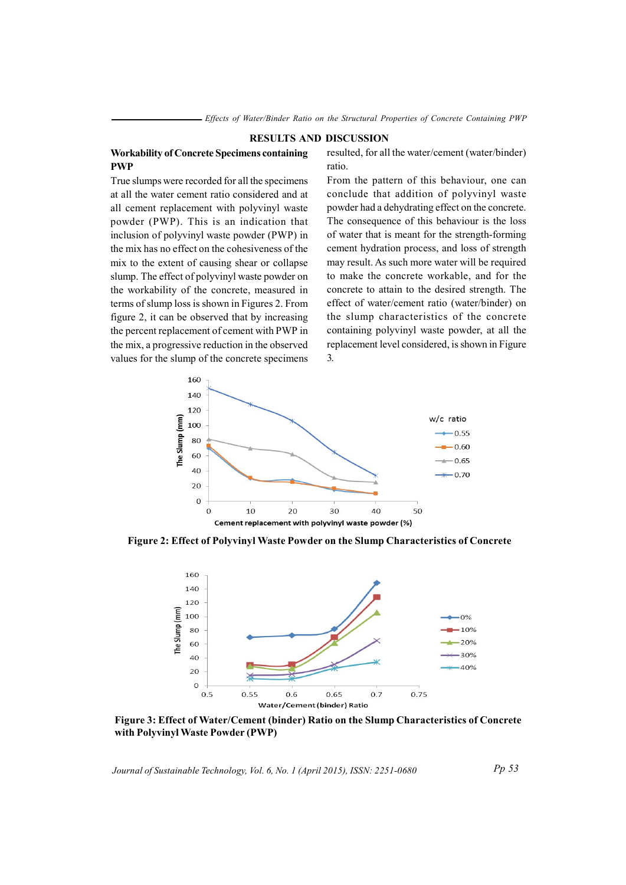#### **RESULTS AND DISCUSSION**

## **Workability of Concrete Specimens containing PWP**

True slumps were recorded for all the specimens at all the water cement ratio considered and at all cement replacement with polyvinyl waste powder (PWP). This is an indication that inclusion of polyvinyl waste powder (PWP) in the mix has no effect on the cohesiveness of the mix to the extent of causing shear or collapse slump. The effect of polyvinyl waste powder on the workability of the concrete, measured in terms of slump loss is shown in Figures 2. From figure 2, it can be observed that by increasing the percent replacement of cement with PWP in the mix, a progressive reduction in the observed values for the slump of the concrete specimens

resulted, for all the water/cement (water/binder) ratio

From the pattern of this behaviour, one can conclude that addition of polyvinyl waste powder had a dehydrating effect on the concrete. The consequence of this behaviour is the loss of water that is meant for the strength-forming cement hydration process, and loss of strength may result. As such more water will be required to make the concrete workable, and for the concrete to attain to the desired strength. The effect of water/cement ratio (water/binder) on the slump characteristics of the concrete containing polyvinyl waste powder, at all the replacement level considered, is shown in Figure  $\overline{3}$ .



Figure 2: Effect of Polyvinyl Waste Powder on the Slump Characteristics of Concrete



Figure 3: Effect of Water/Cement (binder) Ratio on the Slump Characteristics of Concrete with Polyvinyl Waste Powder (PWP)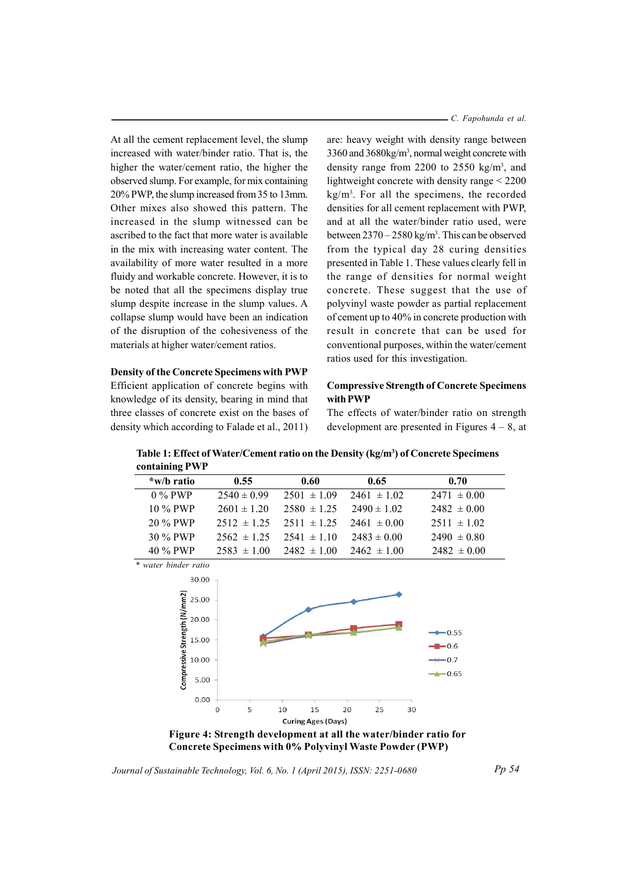At all the cement replacement level, the slump increased with water/binder ratio. That is, the higher the water/cement ratio, the higher the observed slump. For example, for mix containing 20% PWP, the slump increased from 35 to 13mm. Other mixes also showed this pattern. The increased in the slump witnessed can be ascribed to the fact that more water is available in the mix with increasing water content. The availability of more water resulted in a more fluidy and workable concrete. However, it is to be noted that all the specimens display true slump despite increase in the slump values. A collapse slump would have been an indication of the disruption of the cohesiveness of the materials at higher water/cement ratios.

## **Density of the Concrete Specimens with PWP**

Efficient application of concrete begins with knowledge of its density, bearing in mind that three classes of concrete exist on the bases of density which according to Falade et al., 2011) - C. Fapohunda et al.

are: heavy weight with density range between 3360 and 3680kg/m<sup>3</sup>, normal weight concrete with density range from 2200 to 2550  $\text{kg/m}^3$ , and lightweight concrete with density range  $\leq$  2200  $kg/m<sup>3</sup>$ . For all the specimens, the recorded densities for all cement replacement with PWP, and at all the water/binder ratio used, were between  $2370 - 2580$  kg/m<sup>3</sup>. This can be observed from the typical day 28 curing densities presented in Table 1. These values clearly fell in the range of densities for normal weight concrete. These suggest that the use of polyvinyl waste powder as partial replacement of cement up to 40% in concrete production with result in concrete that can be used for conventional purposes, within the water/cement ratios used for this investigation.

# **Compressive Strength of Concrete Specimens** with PWP

The effects of water/binder ratio on strength development are presented in Figures  $4 - 8$ , at

| CONTAINING I WI |                 |                 |                 |                 |
|-----------------|-----------------|-----------------|-----------------|-----------------|
| *w/b ratio      | 0.55            | 0.60            | 0.65            | 0.70            |
| $0\%$ PWP       | $2540 \pm 0.99$ | $2501 \pm 1.09$ | $2461 \pm 1.02$ | $2471 \pm 0.00$ |
| $10\%$ PWP      | $2601 \pm 120$  | $2580 \pm 125$  | $2490 \pm 102$  | $2482 \pm 0.00$ |
| 20 % PWP        | $2512 \pm 125$  | $2511 \pm 125$  | $2461 \pm 0.00$ | $2511 \pm 1.02$ |
| 30 % PWP        | $2562 \pm 125$  | $2541 \pm 110$  | $2483 \pm 0.00$ | $2490 \pm 0.80$ |
| 40 % PWP        | $2583 \pm 100$  | $2482 \pm 100$  | $2462 \pm 100$  | $2482 \pm 0.00$ |

Table 1: Effect of Water/Cement ratio on the Density (kg/m<sup>3</sup>) of Concrete Specimens contoining DWD

\* water binder ratio



Figure 4: Strength development at all the water/binder ratio for Concrete Specimens with 0% Polyvinyl Waste Powder (PWP)

Journal of Sustainable Technology, Vol. 6, No. 1 (April 2015), ISSN: 2251-0680

 $Pp 54$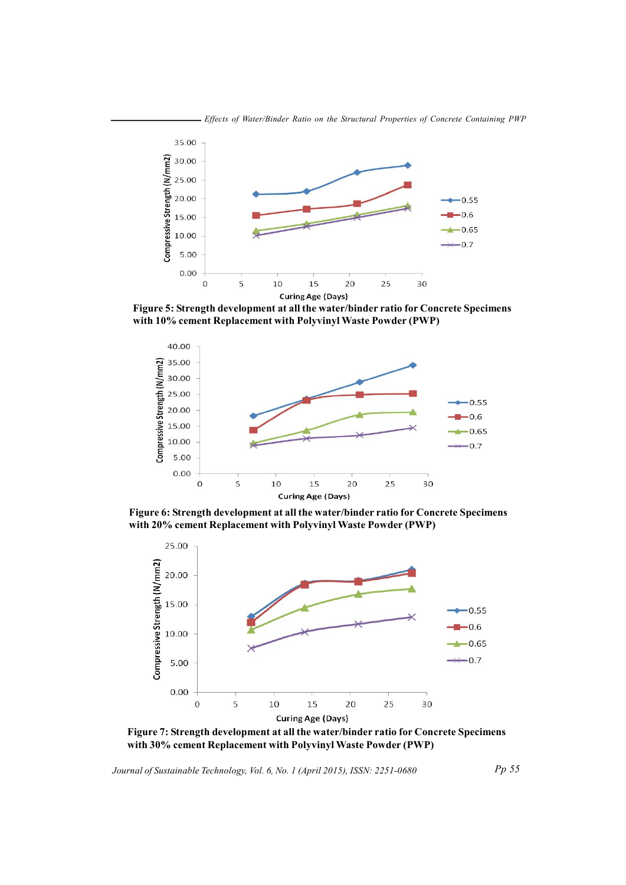

Figure 5: Strength development at all the water/binder ratio for Concrete Specimens with 10% cement Replacement with Polyvinyl Waste Powder (PWP)



Figure 6: Strength development at all the water/binder ratio for Concrete Specimens with 20% cement Replacement with Polyvinyl Waste Powder (PWP)



Figure 7: Strength development at all the water/binder ratio for Concrete Specimens with 30% cement Replacement with Polyvinyl Waste Powder (PWP)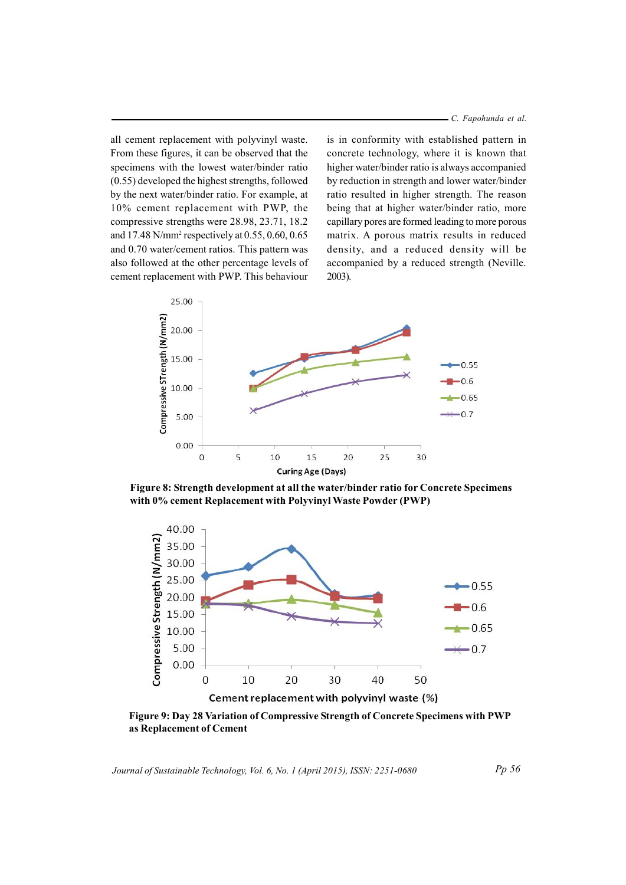C. Fapohunda et al.

all cement replacement with polyvinyl waste. From these figures, it can be observed that the specimens with the lowest water/binder ratio (0.55) developed the highest strengths, followed by the next water/binder ratio. For example, at 10% cement replacement with PWP, the compressive strengths were 28.98, 23.71, 18.2 and 17.48 N/mm<sup>2</sup> respectively at 0.55, 0.60, 0.65 and 0.70 water/cement ratios. This pattern was also followed at the other percentage levels of cement replacement with PWP. This behaviour

is in conformity with established pattern in concrete technology, where it is known that higher water/binder ratio is always accompanied by reduction in strength and lower water/binder ratio resulted in higher strength. The reason being that at higher water/binder ratio, more capillary pores are formed leading to more porous matrix. A porous matrix results in reduced density, and a reduced density will be accompanied by a reduced strength (Neville.  $2003$ ).



Figure 8: Strength development at all the water/binder ratio for Concrete Specimens with 0% cement Replacement with Polyvinyl Waste Powder (PWP)



Figure 9: Day 28 Variation of Compressive Strength of Concrete Specimens with PWP as Replacement of Cement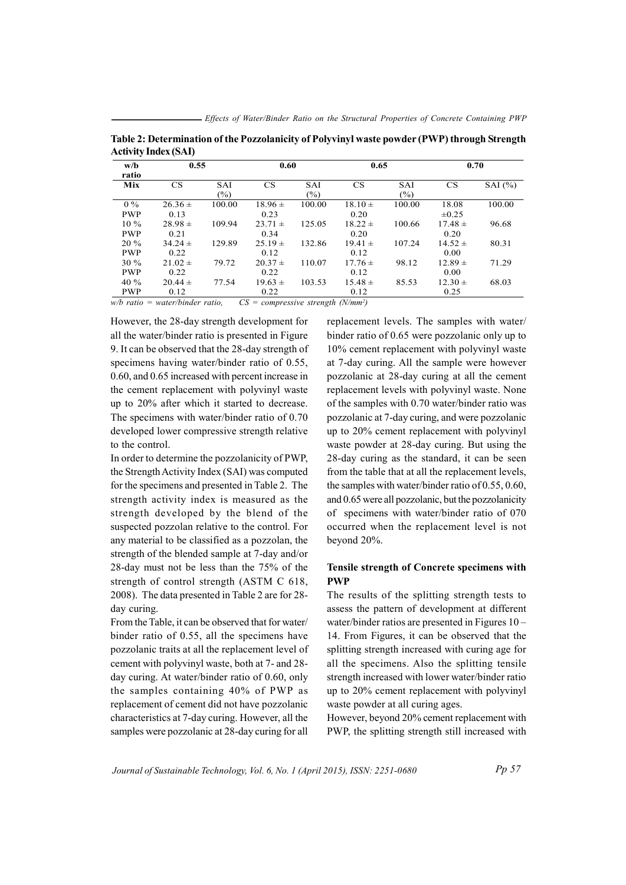| w/b<br>ratio         | 0.55                |                      | 0.60                |                      | 0.65                |                   | 0.70                |             |
|----------------------|---------------------|----------------------|---------------------|----------------------|---------------------|-------------------|---------------------|-------------|
| Mix                  | <b>CS</b>           | <b>SAI</b><br>$(\%)$ | <b>CS</b>           | <b>SAI</b><br>$(\%)$ | <b>CS</b>           | <b>SAI</b><br>(%) | <b>CS</b>           | SAI $(\% )$ |
| $0\%$<br><b>PWP</b>  | $26.36 \pm$<br>0.13 | 100.00               | $18.96 \pm$<br>0.23 | 100.00               | $18.10 \pm$<br>0.20 | 100.00            | 18.08<br>$\pm 0.25$ | 100.00      |
| $10\%$<br><b>PWP</b> | $28.98 \pm$<br>0.21 | 109.94               | $23.71 \pm$<br>0.34 | 125.05               | $18.22 \pm$<br>0.20 | 100.66            | $17.48 \pm$<br>0.20 | 96.68       |
| 20 %<br><b>PWP</b>   | $34.24 \pm$<br>0.22 | 129.89               | $25.19 \pm$<br>0.12 | 132.86               | $19.41 \pm$<br>0.12 | 107.24            | $14.52 \pm$<br>0.00 | 80.31       |
| 30 %<br><b>PWP</b>   | $21.02 \pm$<br>0.22 | 79.72                | $20.37 \pm$<br>0.22 | 110.07               | $17.76 \pm$<br>0.12 | 98.12             | $12.89 +$<br>0.00   | 71.29       |
| 40 %<br><b>PWP</b>   | $20.44 \pm$<br>0.12 | 77.54                | $19.63 \pm$<br>0.22 | 103.53               | $15.48 \pm$<br>0.12 | 85.53             | $12.30 \pm$<br>0.25 | 68.03       |

Table 2: Determination of the Pozzolanicity of Polyvinyl waste powder (PWP) through Strength **Activity Index (SAI)** 

 $w/b$  ratio = water/binder ratio,  $CS = compressive strength (N/mm^2)$ 

However, the 28-day strength development for all the water/binder ratio is presented in Figure 9. It can be observed that the 28-day strength of specimens having water/binder ratio of 0.55, 0.60, and 0.65 increased with percent increase in the cement replacement with polyvinyl waste up to 20% after which it started to decrease. The specimens with water/binder ratio of 0.70 developed lower compressive strength relative to the control.

In order to determine the pozzolanicity of PWP, the Strength Activity Index (SAI) was computed for the specimens and presented in Table 2. The strength activity index is measured as the strength developed by the blend of the suspected pozzolan relative to the control. For any material to be classified as a pozzolan, the strength of the blended sample at 7-day and/or 28-day must not be less than the 75% of the strength of control strength (ASTM C 618, 2008). The data presented in Table 2 are for 28day curing.

From the Table, it can be observed that for water/ binder ratio of 0.55, all the specimens have pozzolanic traits at all the replacement level of cement with polyvinyl waste, both at 7- and 28day curing. At water/binder ratio of 0.60, only the samples containing 40% of PWP as replacement of cement did not have pozzolanic characteristics at 7-day curing. However, all the samples were pozzolanic at 28-day curing for all

replacement levels. The samples with water/ binder ratio of 0.65 were pozzolanic only up to 10% cement replacement with polyvinyl waste at 7-day curing. All the sample were however pozzolanic at 28-day curing at all the cement replacement levels with polyvinyl waste. None of the samples with 0.70 water/binder ratio was pozzolanic at 7-day curing, and were pozzolanic up to 20% cement replacement with polyvinyl waste powder at 28-day curing. But using the 28-day curing as the standard, it can be seen from the table that at all the replacement levels, the samples with water/binder ratio of 0.55, 0.60, and 0.65 were all pozzolanic, but the pozzolanicity of specimens with water/binder ratio of 070 occurred when the replacement level is not beyond 20%.

# Tensile strength of Concrete specimens with **PWP**

The results of the splitting strength tests to assess the pattern of development at different water/binder ratios are presented in Figures  $10 -$ 14. From Figures, it can be observed that the splitting strength increased with curing age for all the specimens. Also the splitting tensile strength increased with lower water/binder ratio up to 20% cement replacement with polyvinyl waste powder at all curing ages.

However, beyond 20% cement replacement with PWP, the splitting strength still increased with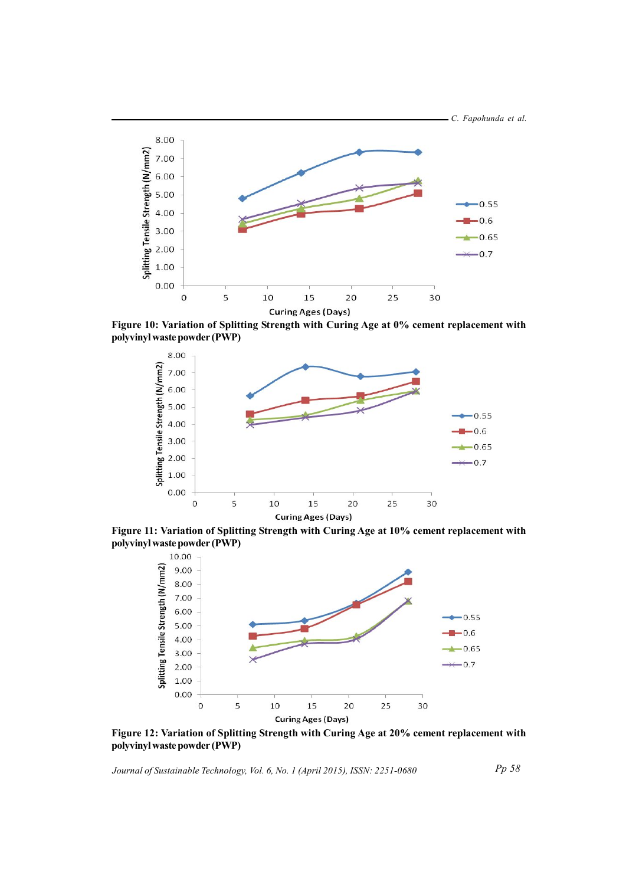

**Curing Ages (Days)** 

Figure 10: Variation of Splitting Strength with Curing Age at 0% cement replacement with **polyvinyl waste powder (PWP)** 



Figure 11: Variation of Splitting Strength with Curing Age at 10% cement replacement with **polyvinyl waste powder (PWP)** 



Figure 12: Variation of Splitting Strength with Curing Age at 20% cement replacement with **polyvinyl waste powder (PWP)** 

Journal of Sustainable Technology, Vol. 6, No. 1 (April 2015), ISSN: 2251-0680

*pP 85*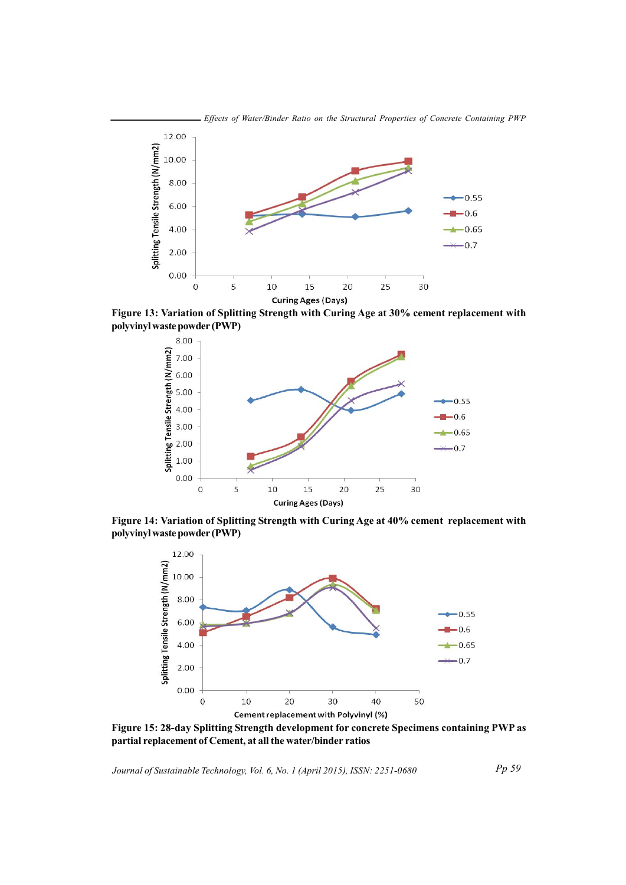

Figure 13: Variation of Splitting Strength with Curing Age at 30% cement replacement with polyvinyl waste powder (PWP)



Figure 14: Variation of Splitting Strength with Curing Age at 40% cement replacement with polyvinyl waste powder (PWP)



Figure 15: 28-day Splitting Strength development for concrete Specimens containing PWP as partial replacement of Cement, at all the water/binder ratios

Journal of Sustainable Technology, Vol. 6, No. 1 (April 2015), ISSN: 2251-0680

 $Pp 59$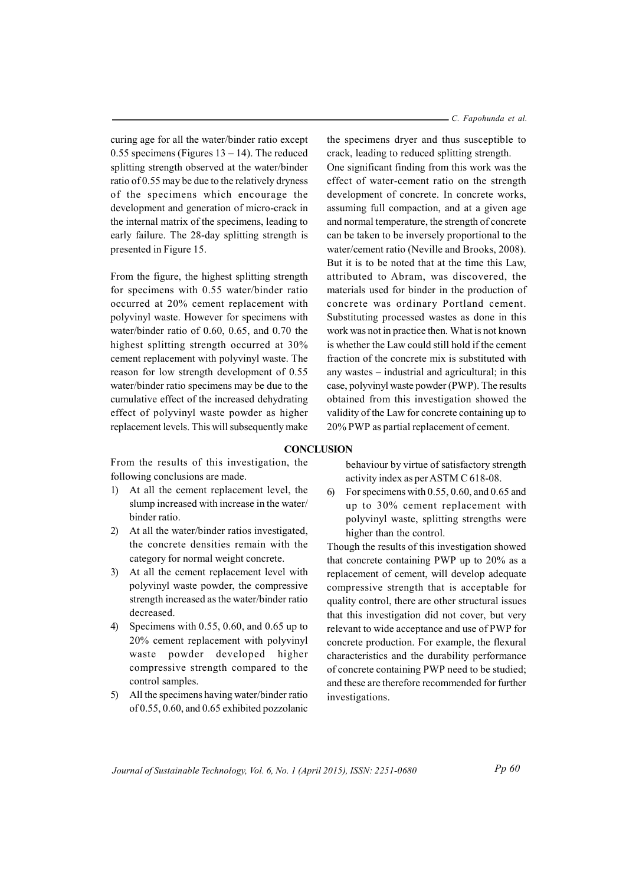curing age for all the water/binder ratio except 0.55 specimens (Figures  $13 - 14$ ). The reduced splitting strength observed at the water/binder ratio of 0.55 may be due to the relatively dryness of the specimens which encourage the development and generation of micro-crack in the internal matrix of the specimens, leading to early failure. The 28-day splitting strength is presented in Figure 15.

From the figure, the highest splitting strength for specimens with 0.55 water/binder ratio occurred at 20% cement replacement with polyvinyl waste. However for specimens with water/binder ratio of  $0.60$ ,  $0.65$ , and  $0.70$  the highest splitting strength occurred at 30% cement replacement with polyvinyl waste. The reason for low strength development of 0.55 water/binder ratio specimens may be due to the cumulative effect of the increased dehydrating effect of polyvinyl waste powder as higher replacement levels. This will subsequently make - C. Fapohunda et al.

the specimens dryer and thus susceptible to crack, leading to reduced splitting strength. One significant finding from this work was the effect of water-cement ratio on the strength development of concrete. In concrete works, assuming full compaction, and at a given age and normal temperature, the strength of concrete can be taken to be inversely proportional to the water/cement ratio (Neville and Brooks, 2008). But it is to be noted that at the time this Law. attributed to Abram, was discovered, the materials used for binder in the production of concrete was ordinary Portland cement. Substituting processed wastes as done in this work was not in practice then. What is not known is whether the Law could still hold if the cement fraction of the concrete mix is substituted with any wastes – industrial and agricultural; in this case, polyvinyl waste powder (PWP). The results obtained from this investigation showed the validity of the Law for concrete containing up to 20% PWP as partial replacement of cement.

#### **CONCLUSION**

From the results of this investigation, the following conclusions are made.

- $1)$ At all the cement replacement level, the slump increased with increase in the water/ binder ratio.
- $(2)$ At all the water/binder ratios investigated. the concrete densities remain with the category for normal weight concrete.
- 3) At all the cement replacement level with polyvinyl waste powder, the compressive strength increased as the water/binder ratio decreased.
- 4) Specimens with 0.55, 0.60, and 0.65 up to 20% cement replacement with polyvinyl waste powder developed higher compressive strength compared to the control samples.
- 5) All the specimens having water/binder ratio of 0.55, 0.60, and 0.65 exhibited pozzolanic

behaviour by virtue of satisfactory strength activity index as per ASTM C 618-08.

 $6<sup>0</sup>$ For specimens with  $0.55$ ,  $0.60$ , and  $0.65$  and up to 30% cement replacement with polyvinyl waste, splitting strengths were higher than the control.

Though the results of this investigation showed that concrete containing PWP up to 20% as a replacement of cement, will develop adequate compressive strength that is acceptable for quality control, there are other structural issues that this investigation did not cover, but very relevant to wide acceptance and use of PWP for concrete production. For example, the flexural characteristics and the durability performance of concrete containing PWP need to be studied; and these are therefore recommended for further investigations.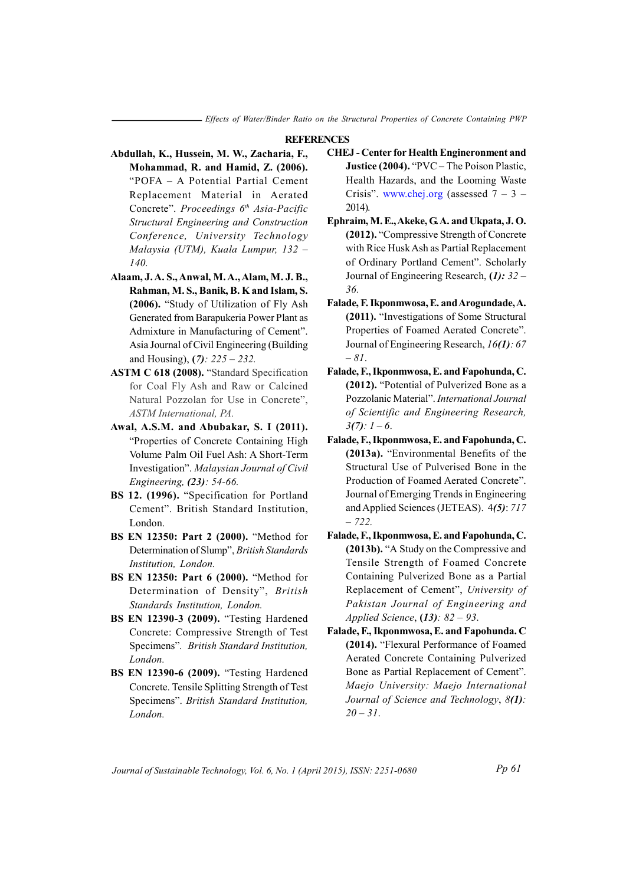### **REFERENCES**

- Abdullah, K., Hussein, M. W., Zacharia, F., Mohammad, R. and Hamid, Z. (2006). "POFA - A Potential Partial Cement Replacement Material in Aerated Concrete". Proceedings 6th Asia-Pacific Structural Engineering and Construction Conference, University Technology Malaysia (UTM), Kuala Lumpur, 132 - $140$
- Alaam, J.A.S., Anwal, M.A., Alam, M.J.B., Rahman, M. S., Banik, B. K and Islam, S. (2006). "Study of Utilization of Fly Ash Generated from Barapukeria Power Plant as Admixture in Manufacturing of Cement". Asia Journal of Civil Engineering (Building and Housing),  $(7)$ : 225 – 232.
- ASTM C 618 (2008). "Standard Specification for Coal Fly Ash and Raw or Calcined Natural Pozzolan for Use in Concrete". ASTM International, PA.
- Awal, A.S.M. and Abubakar, S. I (2011). "Properties of Concrete Containing High Volume Palm Oil Fuel Ash: A Short-Term Investigation". Malaysian Journal of Civil Engineering, (23): 54-66.
- BS 12. (1996). "Specification for Portland Cement". British Standard Institution, London
- BS EN 12350: Part 2 (2000). "Method for Determination of Slump", British Standards Institution, London.
- BS EN 12350: Part 6 (2000). "Method for Determination of Density", British Standards Institution, London.
- BS EN 12390-3 (2009). "Testing Hardened Concrete: Compressive Strength of Test Specimens". British Standard Institution, London.
- BS EN 12390-6 (2009). "Testing Hardened Concrete. Tensile Splitting Strength of Test Specimens". British Standard Institution, London.
- **CHEJ** Center for Health Engineronment and Justice (2004). "PVC - The Poison Plastic, Health Hazards, and the Looming Waste Crisis". www.chej.org (assessed  $7 - 3 2014$ ).
- Ephraim, M. E., Akeke, G. A. and Ukpata, J. O. (2012). "Compressive Strength of Concrete" with Rice Husk Ash as Partial Replacement of Ordinary Portland Cement". Scholarly Journal of Engineering Research,  $(1)$ : 32 – 36.
- Falade, F. Ikponmwosa, E. and Arogundade, A. (2011). "Investigations of Some Structural Properties of Foamed Aerated Concrete". Journal of Engineering Research, 16(1): 67  $-81.$
- Falade, F., Ikponmwosa, E. and Fapohunda, C. (2012). "Potential of Pulverized Bone as a Pozzolanic Material". International Journal of Scientific and Engineering Research,  $3(7): 1-6.$
- Falade, F., Ikponmwosa, E. and Fapohunda, C. (2013a). "Environmental Benefits of the Structural Use of Pulverised Bone in the Production of Foamed Aerated Concrete". Journal of Emerging Trends in Engineering and Applied Sciences (JETEAS). 4(5): 717  $-722.$
- Falade, F., Ikponmwosa, E. and Fapohunda, C. (2013b). "A Study on the Compressive and Tensile Strength of Foamed Concrete Containing Pulverized Bone as a Partial Replacement of Cement", University of Pakistan Journal of Engineering and Applied Science,  $(13)$ : 82 - 93.
- Falade, F., Ikponmwosa, E. and Fapohunda. C (2014). "Flexural Performance of Foamed Aerated Concrete Containing Pulverized Bone as Partial Replacement of Cement". Maejo University: Maejo International Journal of Science and Technology, 8(1):  $20 - 31$ .